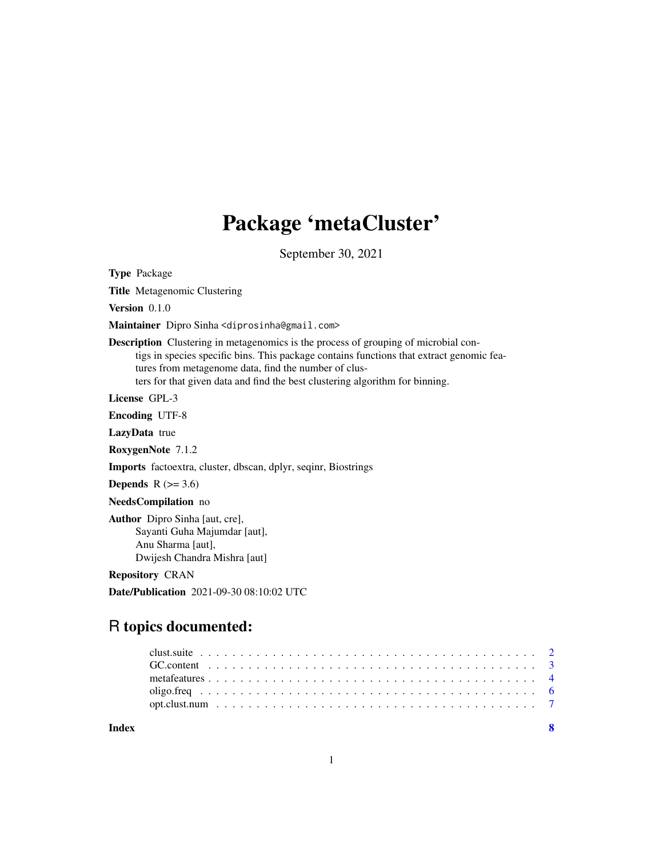# Package 'metaCluster'

September 30, 2021

Type Package

Title Metagenomic Clustering

Version 0.1.0

Maintainer Dipro Sinha <diprosinha@gmail.com>

Description Clustering in metagenomics is the process of grouping of microbial contigs in species specific bins. This package contains functions that extract genomic features from metagenome data, find the number of clusters for that given data and find the best clustering algorithm for binning.

License GPL-3

Encoding UTF-8

LazyData true

RoxygenNote 7.1.2

Imports factoextra, cluster, dbscan, dplyr, seqinr, Biostrings

Depends  $R$  ( $>= 3.6$ )

NeedsCompilation no

Author Dipro Sinha [aut, cre], Sayanti Guha Majumdar [aut], Anu Sharma [aut], Dwijesh Chandra Mishra [aut]

Repository CRAN

Date/Publication 2021-09-30 08:10:02 UTC

# R topics documented:

**Index** [8](#page-7-0) **8**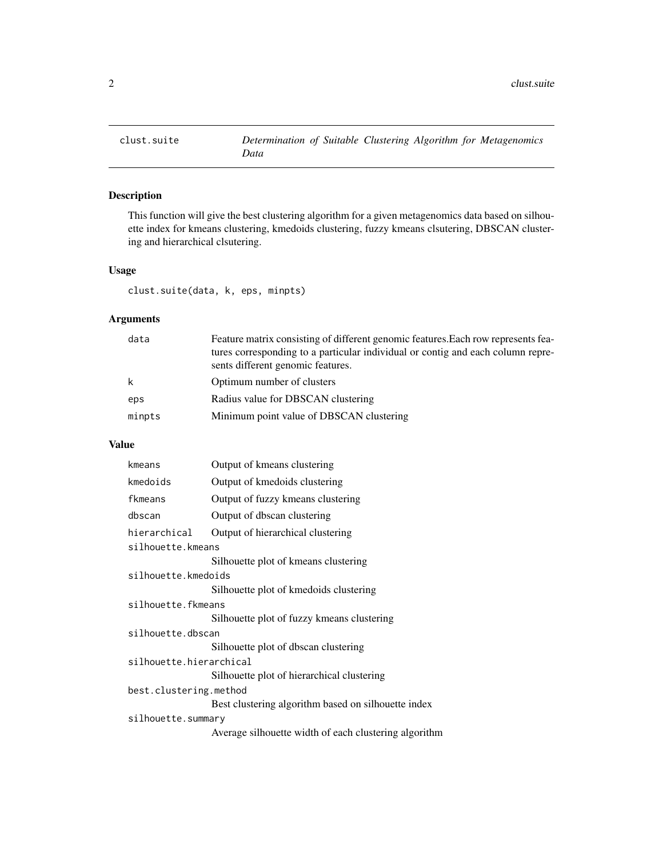<span id="page-1-0"></span>

# Description

This function will give the best clustering algorithm for a given metagenomics data based on silhouette index for kmeans clustering, kmedoids clustering, fuzzy kmeans clsutering, DBSCAN clustering and hierarchical clsutering.

# Usage

clust.suite(data, k, eps, minpts)

# Arguments

| data   | Feature matrix consisting of different genomic features. Each row represents fea-<br>tures corresponding to a particular individual or contig and each column repre-<br>sents different genomic features. |
|--------|-----------------------------------------------------------------------------------------------------------------------------------------------------------------------------------------------------------|
| k      | Optimum number of clusters                                                                                                                                                                                |
| eps    | Radius value for DBSCAN clustering                                                                                                                                                                        |
| minpts | Minimum point value of DBSCAN clustering                                                                                                                                                                  |

# Value

| kmeans                  | Output of kmeans clustering                           |
|-------------------------|-------------------------------------------------------|
| kmedoids                | Output of kmedoids clustering                         |
| fkmeans                 | Output of fuzzy kmeans clustering                     |
| dbscan                  | Output of dbscan clustering                           |
| hierarchical            | Output of hierarchical clustering                     |
| silhouette.kmeans       |                                                       |
|                         | Silhouette plot of kmeans clustering                  |
| silhouette.kmedoids     |                                                       |
|                         | Silhouette plot of kmedoids clustering                |
| silhouette.fkmeans      |                                                       |
|                         | Silhouette plot of fuzzy kmeans clustering            |
| silhouette.dbscan       |                                                       |
|                         | Silhouette plot of dbscan clustering                  |
| silhouette.hierarchical |                                                       |
|                         | Silhouette plot of hierarchical clustering            |
| best.clustering.method  |                                                       |
|                         | Best clustering algorithm based on silhouette index   |
| silhouette.summary      |                                                       |
|                         | Average silhouette width of each clustering algorithm |
|                         |                                                       |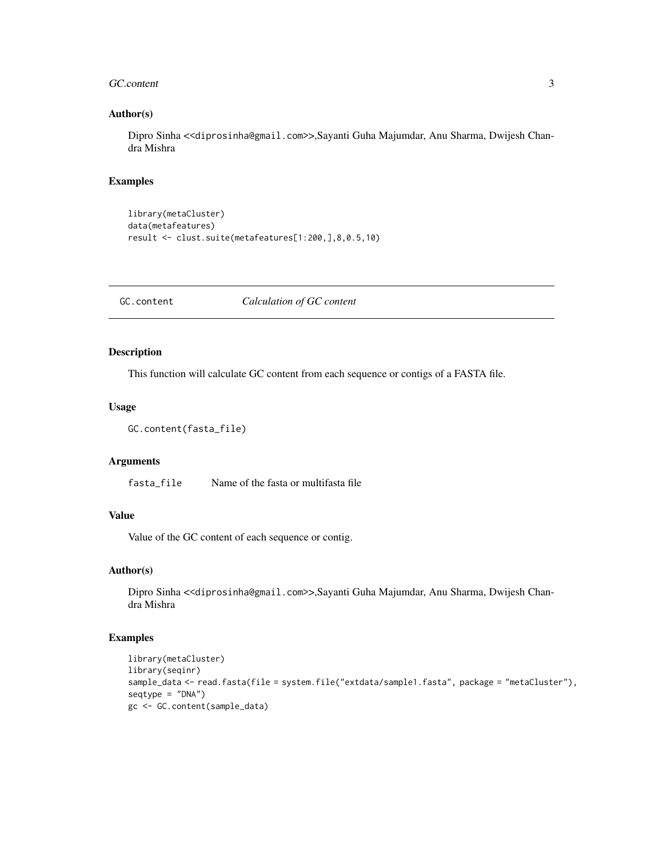#### <span id="page-2-0"></span>GC.content 3

# Author(s)

Dipro Sinha <<diprosinha@gmail.com>>,Sayanti Guha Majumdar, Anu Sharma, Dwijesh Chandra Mishra

# Examples

```
library(metaCluster)
data(metafeatures)
result <- clust.suite(metafeatures[1:200,],8,0.5,10)
```
GC.content *Calculation of GC content*

# Description

This function will calculate GC content from each sequence or contigs of a FASTA file.

#### Usage

```
GC.content(fasta_file)
```
# Arguments

fasta\_file Name of the fasta or multifasta file

# Value

Value of the GC content of each sequence or contig.

# Author(s)

Dipro Sinha <<diprosinha@gmail.com>>,Sayanti Guha Majumdar, Anu Sharma, Dwijesh Chandra Mishra

# Examples

```
library(metaCluster)
library(seqinr)
sample_data <- read.fasta(file = system.file("extdata/sample1.fasta", package = "metaCluster"),
seqtype = "DNA")gc <- GC.content(sample_data)
```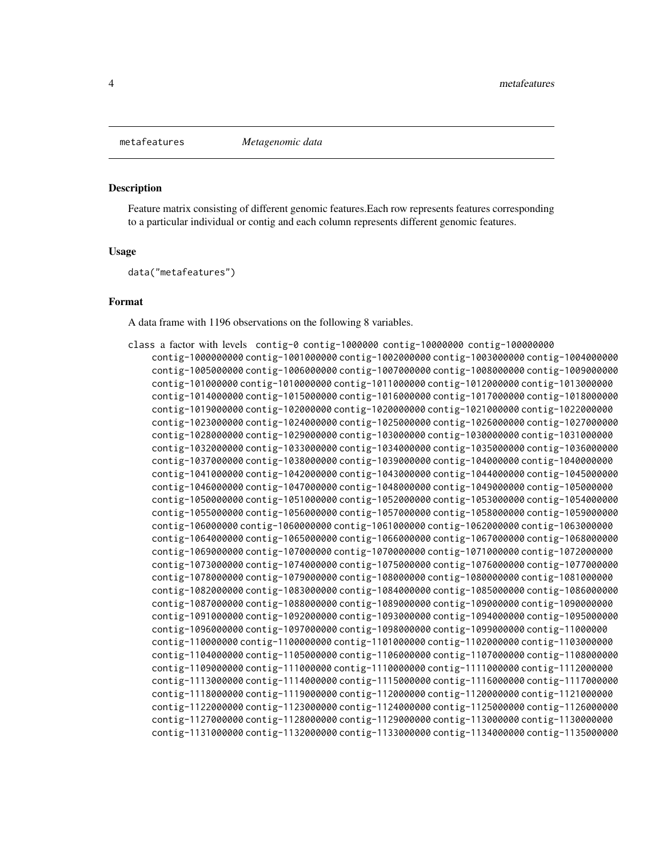<span id="page-3-0"></span>

# Description

Feature matrix consisting of different genomic features.Each row represents features corresponding to a particular individual or contig and each column represents different genomic features.

# Usage

data("metafeatures")

# Format

A data frame with 1196 observations on the following 8 variables.

| class a factor with levels contig-0 contig-1000000 contig-10000000 contig-100000000       |
|-------------------------------------------------------------------------------------------|
| contig-1000000000 contig-1001000000 contig-1002000000 contig-1003000000 contig-1004000000 |
| contig-1005000000 contig-1006000000 contig-1007000000 contig-100800000 contig-1009000000  |
| contig-101000000 contig-1010000000 contig-1011000000 contig-1012000000 contig-1013000000  |
| contig-1014000000 contig-1015000000 contig-1016000000 contig-1017000000 contig-1018000000 |
| contig-1019000000 contig-102000000 contig-1020000000 contig-1021000000 contig-1022000000  |
| contig-1023000000 contig-1024000000 contig-1025000000 contig-1026000000 contig-1027000000 |
| contig-1028000000 contig-1029000000 contig-103000000 contig-1030000000 contig-1031000000  |
| contig-1032000000 contig-1033000000 contig-1034000000 contig-1035000000 contig-1036000000 |
| contig-1037000000 contig-1038000000 contig-1039000000 contig-104000000 contig-1040000000  |
| contig-1041000000 contig-1042000000 contig-1043000000 contig-1044000000 contig-1045000000 |
| contig-1046000000 contig-1047000000 contig-1048000000 contig-1049000000 contig-105000000  |
| contig-1050000000 contig-1051000000 contig-1052000000 contig-1053000000 contig-1054000000 |
| contig-1055000000 contig-1056000000 contig-1057000000 contig-1058000000 contig-1059000000 |
| contig-106000000 contig-1060000000 contig-1061000000 contig-1062000000 contig-1063000000  |
| contig-1064000000 contig-1065000000 contig-1066000000 contig-1067000000 contig-1068000000 |
| contig-1069000000 contig-107000000 contig-1070000000 contig-1071000000 contig-1072000000  |
| contig-1073000000 contig-1074000000 contig-1075000000 contig-1076000000 contig-1077000000 |
| contig-1078000000 contig-1079000000 contig-108000000 contig-1080000000 contig-1081000000  |
| contig-1082000000 contig-1083000000 contig-1084000000 contig-1085000000 contig-1086000000 |
| contig-1087000000 contig-1088000000 contig-1089000000 contig-109000000 contig-1090000000  |
| contig-1091000000 contig-1092000000 contig-1093000000 contig-1094000000 contig-1095000000 |
| contig-1096000000 contig-1097000000 contig-1098000000 contig-1099000000 contig-11000000   |
| contig-110000000 contig-1100000000 contig-1101000000 contig-1102000000 contig-1103000000  |
| contig-1104000000 contig-1105000000 contig-1106000000 contig-1107000000 contig-1108000000 |
| contig-1109000000 contig-111000000 contig-1110000000 contig-1111000000 contig-1112000000  |
| contig-1113000000 contig-1114000000 contig-1115000000 contig-1116000000 contig-1117000000 |
| contig-1118000000 contig-1119000000 contig-112000000 contig-1120000000 contig-1121000000  |
| contig-1122000000 contig-1123000000 contig-1124000000 contig-1125000000 contig-1126000000 |
| contig-1127000000 contig-1128000000 contig-1129000000 contig-113000000 contig-1130000000  |
| contig-1131000000 contig-1132000000 contig-1133000000 contig-1134000000 contig-1135000000 |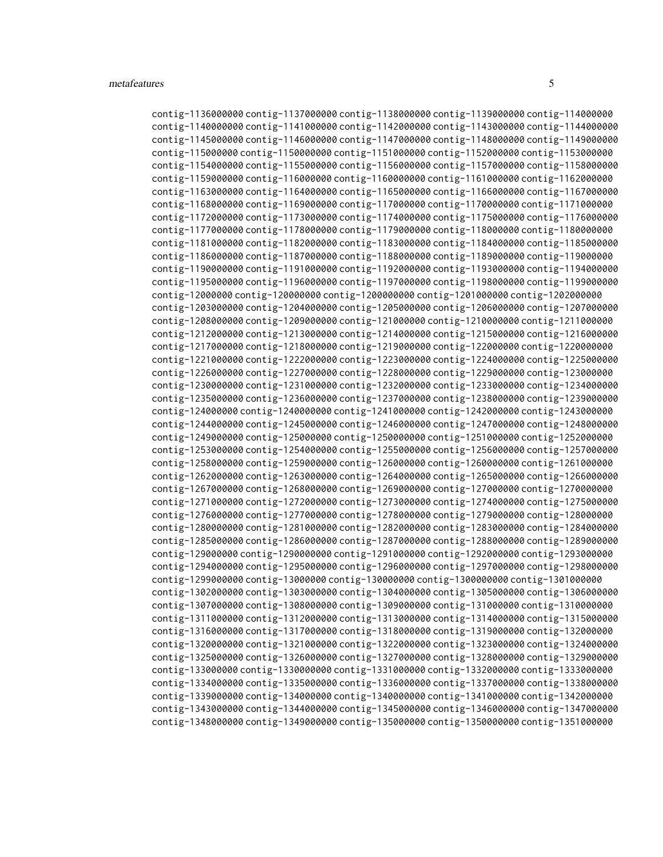contig-1136000000 contig-1137000000 contig-1138000000 contig-1139000000 contig-114000000 contig-1140000000 contig-1141000000 contig-1142000000 contig-1143000000 contig-1144000000 contig-1145000000 contig-1146000000 contig-1147000000 contig-1148000000 contig-1149000000 contig-115000000 contig-1150000000 contig-1151000000 contig-1152000000 contig-1153000000 contig-1154000000 contig-1155000000 contig-1156000000 contig-1157000000 contig-1158000000 contig-1159000000 contig-116000000 contig-1160000000 contig-1161000000 contig-1162000000 contig-1163000000 contig-1164000000 contig-1165000000 contig-1166000000 contig-1167000000 contig-1168000000 contig-1169000000 contig-117000000 contig-1170000000 contig-1171000000 contig-1172000000 contig-1173000000 contig-1174000000 contig-1175000000 contig-1176000000 contig-1177000000 contig-1178000000 contig-1179000000 contig-118000000 contig-1180000000 contig-1181000000 contig-1182000000 contig-1183000000 contig-1184000000 contig-1185000000 contig-1186000000 contig-1187000000 contig-1188000000 contig-1189000000 contig-119000000 contig-1190000000 contig-1191000000 contig-1192000000 contig-1193000000 contig-1194000000 contig-1195000000 contig-1196000000 contig-1197000000 contig-1198000000 contig-1199000000 contig-12000000 contig-120000000 contig-1200000000 contig-1201000000 contig-1202000000 contig-1203000000 contig-1204000000 contig-1205000000 contig-1206000000 contig-1207000000 contig-1208000000 contig-1209000000 contig-121000000 contig-1210000000 contig-1211000000 contig-1212000000 contig-1213000000 contig-1214000000 contig-1215000000 contig-1216000000 contig-1217000000 contig-1218000000 contig-1219000000 contig-122000000 contig-1220000000 contig-1221000000 contig-1222000000 contig-1223000000 contig-1224000000 contig-1225000000 contig-1226000000 contig-1227000000 contig-1228000000 contig-1229000000 contig-123000000 contig-1230000000 contig-1231000000 contig-1232000000 contig-1233000000 contig-1234000000 contig-1235000000 contig-1236000000 contig-1237000000 contig-1238000000 contig-1239000000 contig-124000000 contig-1240000000 contig-1241000000 contig-1242000000 contig-1243000000 contig-1244000000 contig-1245000000 contig-1246000000 contig-1247000000 contig-1248000000 contig-1249000000 contig-125000000 contig-1250000000 contig-1251000000 contig-1252000000 contig-1253000000 contig-1254000000 contig-1255000000 contig-1256000000 contig-1257000000 contig-1258000000 contig-1259000000 contig-126000000 contig-1260000000 contig-1261000000 contig-1262000000 contig-1263000000 contig-1264000000 contig-1265000000 contig-1266000000 contig-1267000000 contig-1268000000 contig-1269000000 contig-127000000 contig-1270000000 contig-1271000000 contig-1272000000 contig-1273000000 contig-1274000000 contig-1275000000 contig-1276000000 contig-1277000000 contig-1278000000 contig-1279000000 contig-128000000 contig-1280000000 contig-1281000000 contig-1282000000 contig-1283000000 contig-1284000000 contig-1285000000 contig-1286000000 contig-1287000000 contig-1288000000 contig-1289000000 contig-129000000 contig-1290000000 contig-1291000000 contig-1292000000 contig-1293000000 contig-1294000000 contig-1295000000 contig-1296000000 contig-1297000000 contig-1298000000 contig-1299000000 contig-13000000 contig-130000000 contig-1300000000 contig-1301000000 contig-1302000000 contig-1303000000 contig-1304000000 contig-1305000000 contig-1306000000 contig-1307000000 contig-1308000000 contig-1309000000 contig-131000000 contig-1310000000 contig-1311000000 contig-1312000000 contig-1313000000 contig-1314000000 contig-1315000000 contig-1316000000 contig-1317000000 contig-1318000000 contig-1319000000 contig-132000000 contig-1320000000 contig-1321000000 contig-1322000000 contig-1323000000 contig-1324000000 contig-1325000000 contig-1326000000 contig-1327000000 contig-1328000000 contig-1329000000 contig-133000000 contig-1330000000 contig-1331000000 contig-1332000000 contig-1333000000 contig-1334000000 contig-1335000000 contig-1336000000 contig-1337000000 contig-1338000000 contig-1339000000 contig-134000000 contig-1340000000 contig-1341000000 contig-1342000000 contig-1343000000 contig-1344000000 contig-1345000000 contig-1346000000 contig-1347000000 contig-1348000000 contig-1349000000 contig-135000000 contig-1350000000 contig-1351000000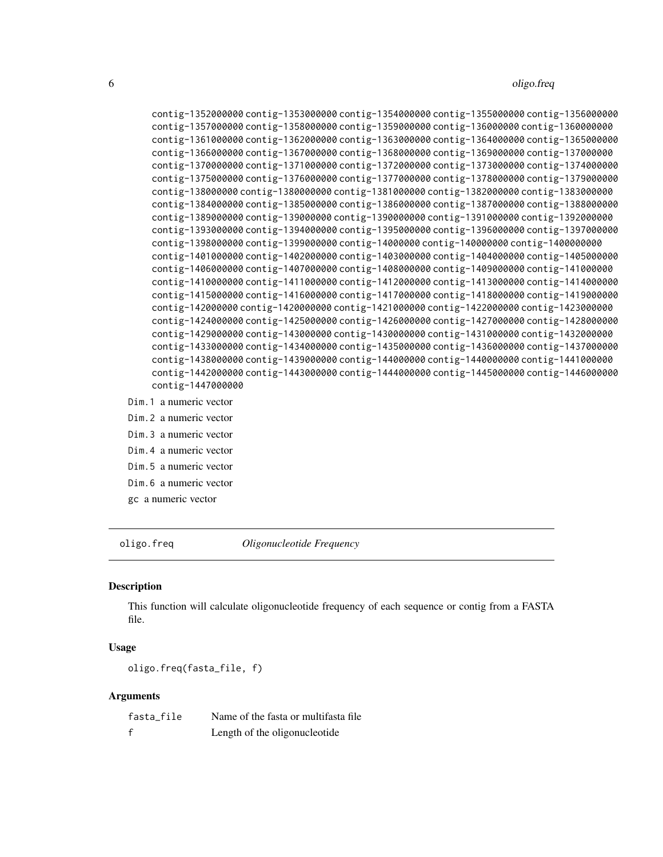<span id="page-5-0"></span>6 oligo.freq

```
contig-1352000000 contig-1353000000 contig-1354000000 contig-1355000000 contig-1356000000
    contig-1357000000 contig-1358000000 contig-1359000000 contig-136000000 contig-1360000000
    contig-1361000000 contig-1362000000 contig-1363000000 contig-1364000000 contig-1365000000
    contig-1366000000 contig-1367000000 contig-1368000000 contig-1369000000 contig-137000000
    contig-1370000000 contig-1371000000 contig-1372000000 contig-1373000000 contig-1374000000
    contig-1375000000 contig-1376000000 contig-1377000000 contig-1378000000 contig-1379000000
    contig-138000000 contig-1380000000 contig-1381000000 contig-1382000000 contig-1383000000
    contig-1384000000 contig-1385000000 contig-1386000000 contig-1387000000 contig-1388000000
    contig-1389000000 contig-139000000 contig-1390000000 contig-1391000000 contig-1392000000
    contig-1393000000 contig-1394000000 contig-1395000000 contig-1396000000 contig-1397000000
    contig-1398000000 contig-1399000000 contig-14000000 contig-140000000 contig-1400000000
    contig-1401000000 contig-1402000000 contig-1403000000 contig-1404000000 contig-1405000000
    contig-1406000000 contig-1407000000 contig-1408000000 contig-1409000000 contig-141000000
    contig-1410000000 contig-1411000000 contig-1412000000 contig-1413000000 contig-1414000000
    contig-1415000000 contig-1416000000 contig-1417000000 contig-1418000000 contig-1419000000
    contig-142000000 contig-1420000000 contig-1421000000 contig-1422000000 contig-1423000000
    contig-1424000000 contig-1425000000 contig-1426000000 contig-1427000000 contig-1428000000
    contig-1429000000 contig-143000000 contig-1430000000 contig-1431000000 contig-1432000000
    contig-1433000000 contig-1434000000 contig-1435000000 contig-1436000000 contig-1437000000
    contig-1438000000 contig-1439000000 contig-144000000 contig-1440000000 contig-1441000000
    contig-1442000000 contig-1443000000 contig-1444000000 contig-1445000000 contig-1446000000
    contig-1447000000
Dim.1 a numeric vector
Dim.2 a numeric vector
Dim.3 a numeric vector
Dim.4 a numeric vector
```
Dim.5 a numeric vector Dim.6 a numeric vector

gc a numeric vector

oligo.freq *Oligonucleotide Frequency*

#### **Description**

This function will calculate oligonucleotide frequency of each sequence or contig from a FASTA file.

# Usage

oligo.freq(fasta\_file, f)

#### Arguments

| fasta file | Name of the fasta or multifasta file |
|------------|--------------------------------------|
|            | Length of the oligonucleotide        |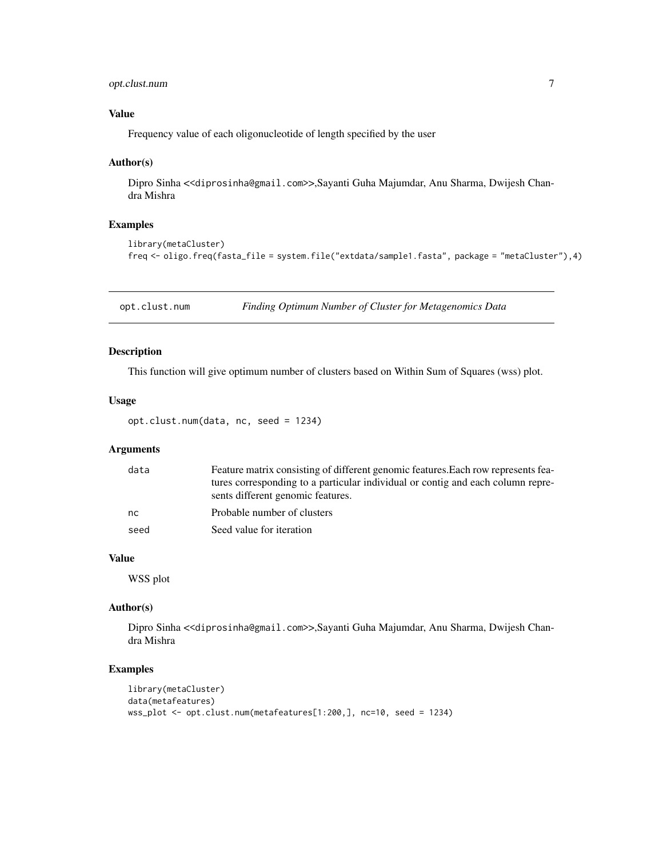# <span id="page-6-0"></span>opt.clust.num 7

# Value

Frequency value of each oligonucleotide of length specified by the user

#### Author(s)

Dipro Sinha <<diprosinha@gmail.com>>,Sayanti Guha Majumdar, Anu Sharma, Dwijesh Chandra Mishra

# Examples

```
library(metaCluster)
freq <- oligo.freq(fasta_file = system.file("extdata/sample1.fasta", package = "metaCluster"),4)
```
opt.clust.num *Finding Optimum Number of Cluster for Metagenomics Data*

# Description

This function will give optimum number of clusters based on Within Sum of Squares (wss) plot.

# Usage

opt.clust.num(data, nc, seed = 1234)

# Arguments

| data          | Feature matrix consisting of different genomic features. Each row represents fea-                                    |
|---------------|----------------------------------------------------------------------------------------------------------------------|
|               | tures corresponding to a particular individual or contig and each column repre-<br>sents different genomic features. |
| <sub>nc</sub> | Probable number of clusters                                                                                          |
| seed          | Seed value for iteration                                                                                             |

# Value

WSS plot

## Author(s)

Dipro Sinha <<diprosinha@gmail.com>>,Sayanti Guha Majumdar, Anu Sharma, Dwijesh Chandra Mishra

# Examples

```
library(metaCluster)
data(metafeatures)
wss_plot <- opt.clust.num(metafeatures[1:200,], nc=10, seed = 1234)
```